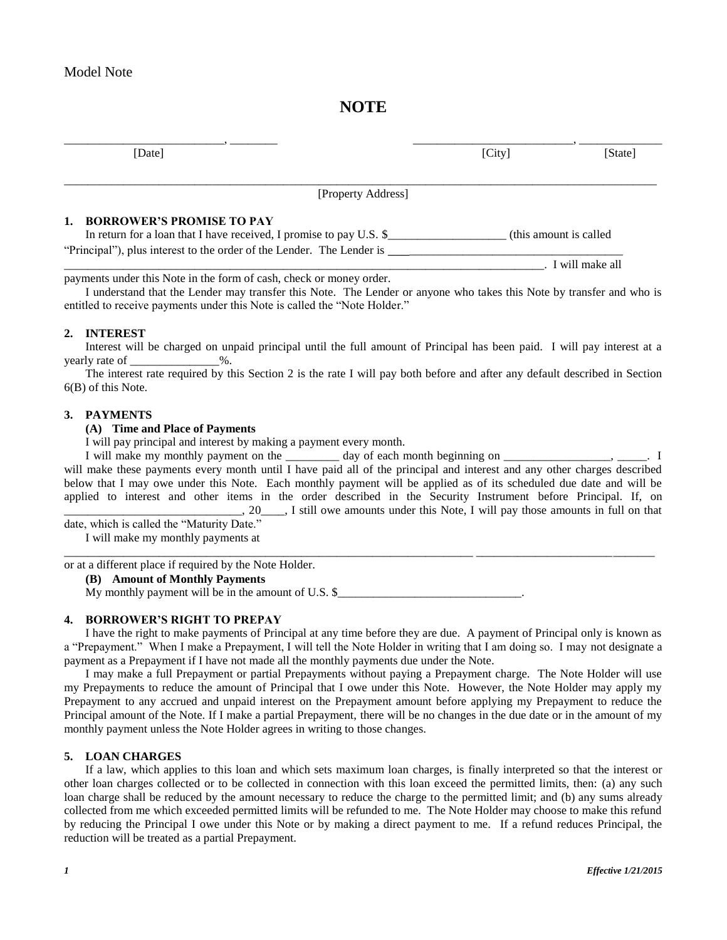**NOTE**

| [Date]                                                                                                                                                                       | [City] | [State]                 |  |
|------------------------------------------------------------------------------------------------------------------------------------------------------------------------------|--------|-------------------------|--|
| [Property Address]                                                                                                                                                           |        |                         |  |
| 1. BORROWER'S PROMISE TO PAY<br>In return for a loan that I have received, I promise to pay U.S. \$<br>"Principal"), plus interest to the order of the Lender. The Lender is |        | (this amount is called) |  |
|                                                                                                                                                                              |        | . I will make all       |  |

I understand that the Lender may transfer this Note. The Lender or anyone who takes this Note by transfer and who is entitled to receive payments under this Note is called the "Note Holder."

# **2. INTEREST**

Interest will be charged on unpaid principal until the full amount of Principal has been paid. I will pay interest at a yearly rate of  $\%$ .

The interest rate required by this Section 2 is the rate I will pay both before and after any default described in Section 6(B) of this Note.

## **3. PAYMENTS**

## **(A) Time and Place of Payments**

I will pay principal and interest by making a payment every month.

I will make my monthly payment on the \_\_\_\_\_\_\_\_\_\_ day of each month beginning on \_\_\_\_\_\_\_\_\_\_\_ will make these payments every month until I have paid all of the principal and interest and any other charges described below that I may owe under this Note. Each monthly payment will be applied as of its scheduled due date and will be applied to interest and other items in the order described in the Security Instrument before Principal. If, on \_\_\_\_\_\_\_\_\_\_\_\_\_\_\_\_\_\_\_\_\_\_\_\_\_\_\_\_\_\_, 20\_\_\_\_, I still owe amounts under this Note, I will pay those amounts in full on that

\_\_\_\_\_\_\_\_\_\_\_\_\_\_\_\_\_\_\_\_\_\_\_\_\_\_\_\_\_\_\_\_\_\_\_\_\_\_\_\_\_\_\_\_\_\_\_\_\_\_\_\_\_\_\_\_\_\_\_\_\_\_\_\_\_\_\_\_\_ \_\_\_\_\_\_\_\_\_\_\_\_\_\_\_\_\_\_\_\_\_\_\_\_\_\_\_\_\_\_

date, which is called the "Maturity Date."

I will make my monthly payments at

or at a different place if required by the Note Holder.

## **(B) Amount of Monthly Payments**

My monthly payment will be in the amount of U.S. \$\_\_\_\_\_\_\_\_\_\_\_\_\_\_\_\_\_\_\_\_\_\_\_\_\_\_\_\_\_\_\_

## **4. BORROWER'S RIGHT TO PREPAY**

I have the right to make payments of Principal at any time before they are due. A payment of Principal only is known as a "Prepayment." When I make a Prepayment, I will tell the Note Holder in writing that I am doing so. I may not designate a payment as a Prepayment if I have not made all the monthly payments due under the Note.

I may make a full Prepayment or partial Prepayments without paying a Prepayment charge. The Note Holder will use my Prepayments to reduce the amount of Principal that I owe under this Note. However, the Note Holder may apply my Prepayment to any accrued and unpaid interest on the Prepayment amount before applying my Prepayment to reduce the Principal amount of the Note. If I make a partial Prepayment, there will be no changes in the due date or in the amount of my monthly payment unless the Note Holder agrees in writing to those changes.

## **5. LOAN CHARGES**

If a law, which applies to this loan and which sets maximum loan charges, is finally interpreted so that the interest or other loan charges collected or to be collected in connection with this loan exceed the permitted limits, then: (a) any such loan charge shall be reduced by the amount necessary to reduce the charge to the permitted limit; and (b) any sums already collected from me which exceeded permitted limits will be refunded to me. The Note Holder may choose to make this refund by reducing the Principal I owe under this Note or by making a direct payment to me. If a refund reduces Principal, the reduction will be treated as a partial Prepayment.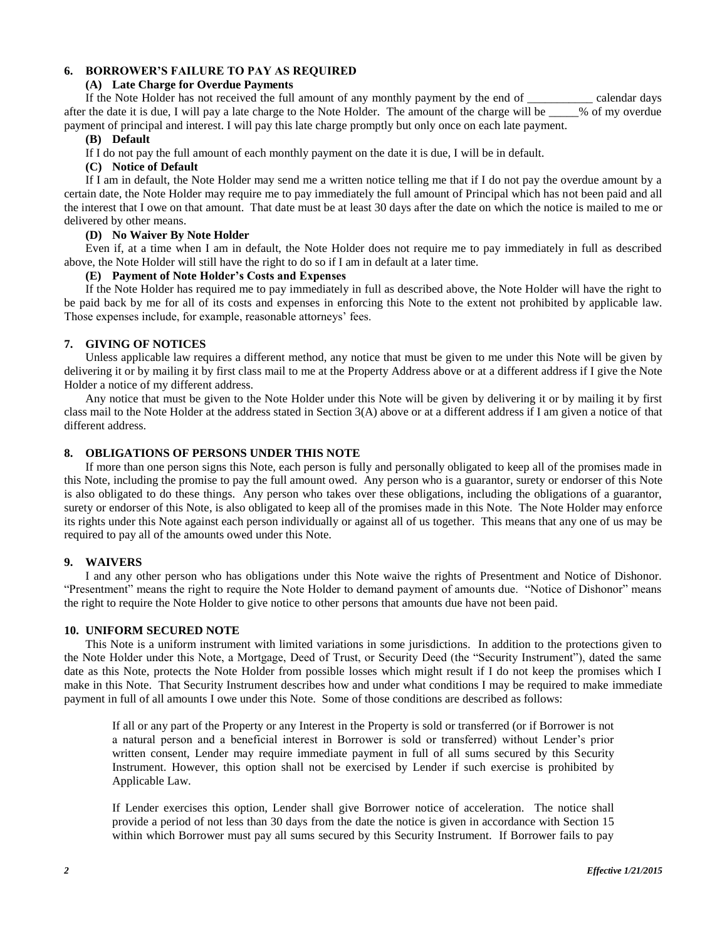### **6. BORROWER'S FAILURE TO PAY AS REQUIRED**

### **(A) Late Charge for Overdue Payments**

If the Note Holder has not received the full amount of any monthly payment by the end of \_\_\_\_\_\_\_\_\_\_\_ calendar days after the date it is due, I will pay a late charge to the Note Holder. The amount of the charge will be \_\_\_\_\_% of my overdue payment of principal and interest. I will pay this late charge promptly but only once on each late payment.

## **(B) Default**

If I do not pay the full amount of each monthly payment on the date it is due, I will be in default.

### **(C) Notice of Default**

If I am in default, the Note Holder may send me a written notice telling me that if I do not pay the overdue amount by a certain date, the Note Holder may require me to pay immediately the full amount of Principal which has not been paid and all the interest that I owe on that amount. That date must be at least 30 days after the date on which the notice is mailed to me or delivered by other means.

### **(D) No Waiver By Note Holder**

Even if, at a time when I am in default, the Note Holder does not require me to pay immediately in full as described above, the Note Holder will still have the right to do so if I am in default at a later time.

### **(E) Payment of Note Holder's Costs and Expenses**

If the Note Holder has required me to pay immediately in full as described above, the Note Holder will have the right to be paid back by me for all of its costs and expenses in enforcing this Note to the extent not prohibited by applicable law. Those expenses include, for example, reasonable attorneys' fees.

### **7. GIVING OF NOTICES**

Unless applicable law requires a different method, any notice that must be given to me under this Note will be given by delivering it or by mailing it by first class mail to me at the Property Address above or at a different address if I give the Note Holder a notice of my different address.

Any notice that must be given to the Note Holder under this Note will be given by delivering it or by mailing it by first class mail to the Note Holder at the address stated in Section 3(A) above or at a different address if I am given a notice of that different address.

### **8. OBLIGATIONS OF PERSONS UNDER THIS NOTE**

If more than one person signs this Note, each person is fully and personally obligated to keep all of the promises made in this Note, including the promise to pay the full amount owed. Any person who is a guarantor, surety or endorser of this Note is also obligated to do these things. Any person who takes over these obligations, including the obligations of a guarantor, surety or endorser of this Note, is also obligated to keep all of the promises made in this Note. The Note Holder may enforce its rights under this Note against each person individually or against all of us together. This means that any one of us may be required to pay all of the amounts owed under this Note.

### **9. WAIVERS**

I and any other person who has obligations under this Note waive the rights of Presentment and Notice of Dishonor. "Presentment" means the right to require the Note Holder to demand payment of amounts due. "Notice of Dishonor" means the right to require the Note Holder to give notice to other persons that amounts due have not been paid.

### **10. UNIFORM SECURED NOTE**

This Note is a uniform instrument with limited variations in some jurisdictions. In addition to the protections given to the Note Holder under this Note, a Mortgage, Deed of Trust, or Security Deed (the "Security Instrument"), dated the same date as this Note, protects the Note Holder from possible losses which might result if I do not keep the promises which I make in this Note. That Security Instrument describes how and under what conditions I may be required to make immediate payment in full of all amounts I owe under this Note. Some of those conditions are described as follows:

If all or any part of the Property or any Interest in the Property is sold or transferred (or if Borrower is not a natural person and a beneficial interest in Borrower is sold or transferred) without Lender's prior written consent, Lender may require immediate payment in full of all sums secured by this Security Instrument. However, this option shall not be exercised by Lender if such exercise is prohibited by Applicable Law.

If Lender exercises this option, Lender shall give Borrower notice of acceleration. The notice shall provide a period of not less than 30 days from the date the notice is given in accordance with Section 15 within which Borrower must pay all sums secured by this Security Instrument. If Borrower fails to pay